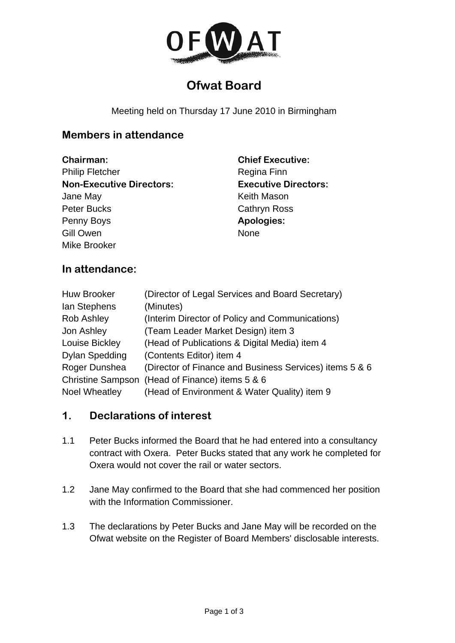

# **Ofwat Board**

Meeting held on Thursday 17 June 2010 in Birmingham

### **Members in attendance**

**Chairman:**  Philip Fletcher **Non-Executive Directors:**  Jane May Peter Bucks Penny Boys Gill Owen Mike Brooker

**Chief Executive:**  Regina Finn **Executive Directors:**  Keith Mason Cathryn Ross **Apologies:**  None

#### **In attendance:**

| <b>Huw Brooker</b>    | (Director of Legal Services and Board Secretary)        |
|-----------------------|---------------------------------------------------------|
| lan Stephens          | (Minutes)                                               |
| Rob Ashley            | (Interim Director of Policy and Communications)         |
| Jon Ashley            | (Team Leader Market Design) item 3                      |
| Louise Bickley        | (Head of Publications & Digital Media) item 4           |
| <b>Dylan Spedding</b> | (Contents Editor) item 4                                |
| Roger Dunshea         | (Director of Finance and Business Services) items 5 & 6 |
|                       | Christine Sampson (Head of Finance) items 5 & 6         |
| <b>Noel Wheatley</b>  | (Head of Environment & Water Quality) item 9            |

#### **1. Declarations of interest**

- 1.1 Peter Bucks informed the Board that he had entered into a consultancy contract with Oxera. Peter Bucks stated that any work he completed for Oxera would not cover the rail or water sectors.
- 1.2 Jane May confirmed to the Board that she had commenced her position with the Information Commissioner.
- 1.3 The declarations by Peter Bucks and Jane May will be recorded on the Ofwat website on the Register of Board Members' disclosable interests.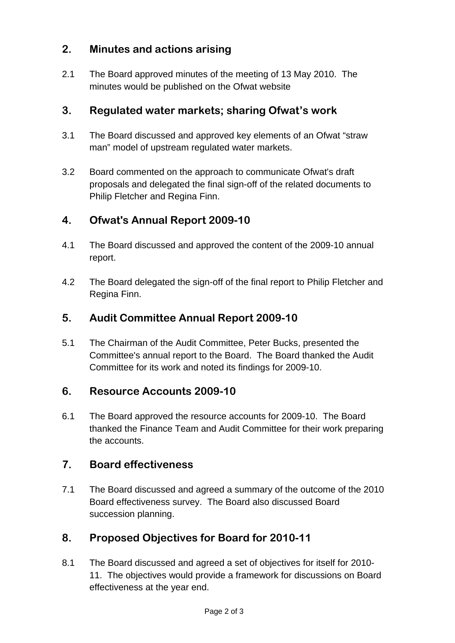# **2. Minutes and actions arising**

2.1 The Board approved minutes of the meeting of 13 May 2010. The minutes would be published on the Ofwat website

# **3. Regulated water markets; sharing Ofwat's work**

- 3.1 The Board discussed and approved key elements of an Ofwat "straw man" model of upstream regulated water markets.
- 3.2 Board commented on the approach to communicate Ofwat's draft proposals and delegated the final sign-off of the related documents to Philip Fletcher and Regina Finn.

# **4. Ofwat's Annual Report 2009-10**

- 4.1 The Board discussed and approved the content of the 2009-10 annual report.
- 4.2 The Board delegated the sign-off of the final report to Philip Fletcher and Regina Finn.

# **5. Audit Committee Annual Report 2009-10**

5.1 The Chairman of the Audit Committee, Peter Bucks, presented the Committee's annual report to the Board. The Board thanked the Audit Committee for its work and noted its findings for 2009-10.

# **6. Resource Accounts 2009-10**

6.1 The Board approved the resource accounts for 2009-10. The Board thanked the Finance Team and Audit Committee for their work preparing the accounts.

# **7. Board effectiveness**

7.1 The Board discussed and agreed a summary of the outcome of the 2010 Board effectiveness survey. The Board also discussed Board succession planning.

# **8. Proposed Objectives for Board for 2010-11**

8.1 The Board discussed and agreed a set of objectives for itself for 2010- 11. The objectives would provide a framework for discussions on Board effectiveness at the year end.